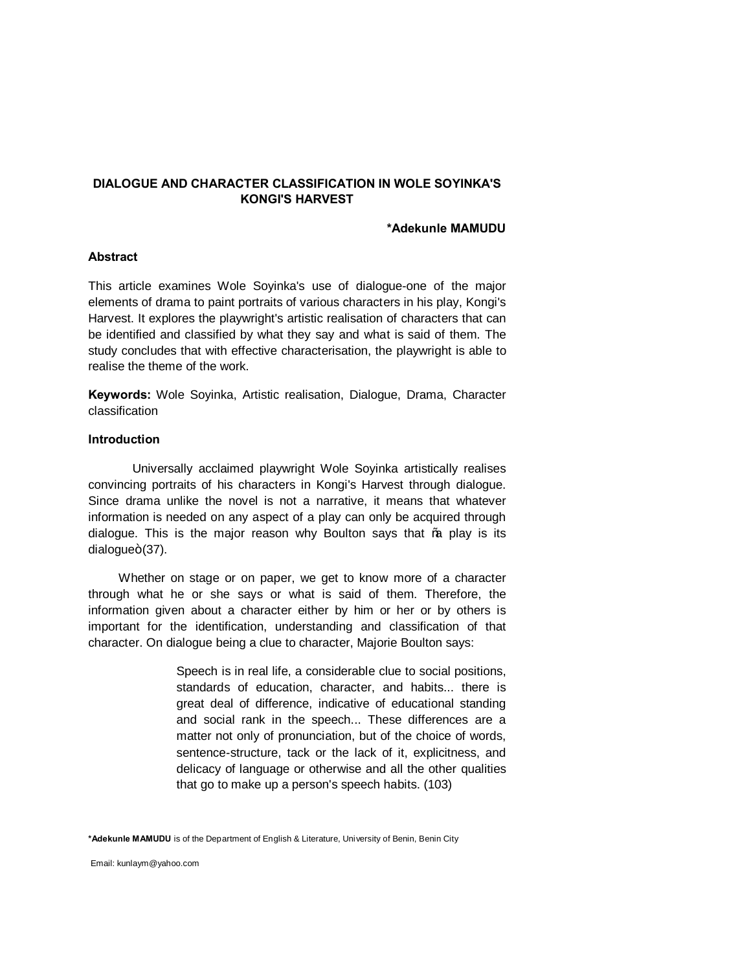# **DIALOGUE AND CHARACTER CLASSIFICATION IN WOLE SOYINKA'S KONGI'S HARVEST**

#### **\*Adekunle MAMUDU**

# **Abstract**

This article examines Wole Soyinka's use of dialogue-one of the major elements of drama to paint portraits of various characters in his play, Kongi's Harvest. It explores the playwright's artistic realisation of characters that can be identified and classified by what they say and what is said of them. The study concludes that with effective characterisation, the playwright is able to realise the theme of the work.

**Keywords:** Wole Soyinka, Artistic realisation, Dialogue, Drama, Character classification

#### **Introduction**

Universally acclaimed playwright Wole Soyinka artistically realises convincing portraits of his characters in Kongi's Harvest through dialogue. Since drama unlike the novel is not a narrative, it means that whatever information is needed on any aspect of a play can only be acquired through dialogue. This is the major reason why Boulton says that % play is its  $dialogue+(37)$ .

 Whether on stage or on paper, we get to know more of a character through what he or she says or what is said of them. Therefore, the information given about a character either by him or her or by others is important for the identification, understanding and classification of that character. On dialogue being a clue to character, Majorie Boulton says:

> Speech is in real life, a considerable clue to social positions, standards of education, character, and habits... there is great deal of difference, indicative of educational standing and social rank in the speech... These differences are a matter not only of pronunciation, but of the choice of words, sentence-structure, tack or the lack of it, explicitness, and delicacy of language or otherwise and all the other qualities that go to make up a person's speech habits. (103)

**\*Adekunle MAMUDU** is of the Department of English & Literature, University of Benin, Benin City

Email: kunlaym@yahoo.com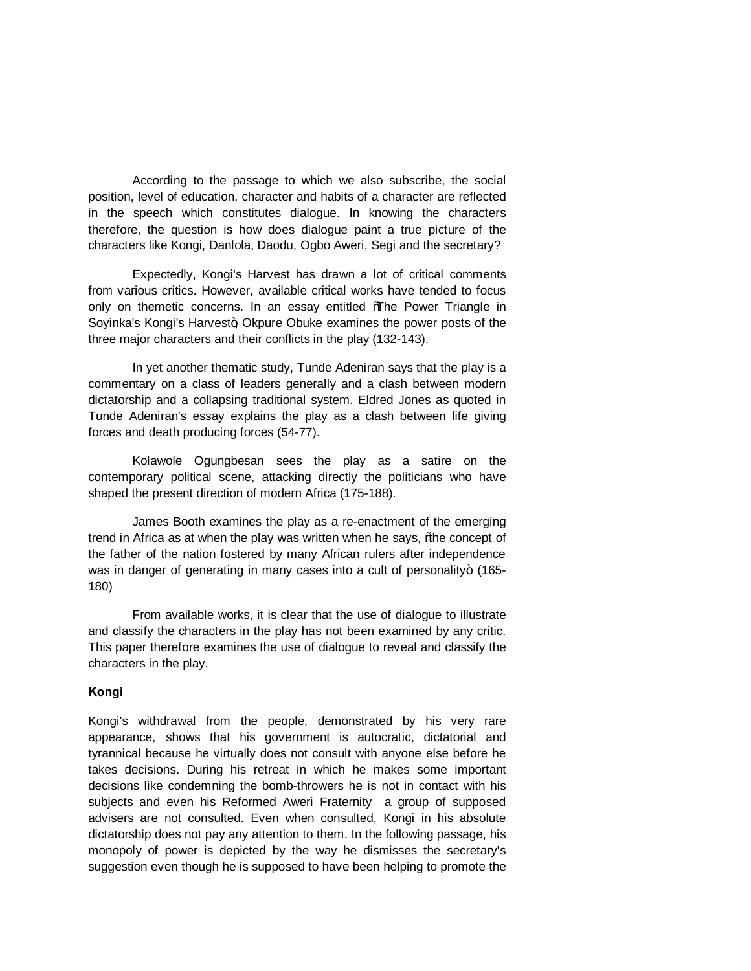According to the passage to which we also subscribe, the social position, level of education, character and habits of a character are reflected in the speech which constitutes dialogue. In knowing the characters therefore, the question is how does dialogue paint a true picture of the characters like Kongi, Danlola, Daodu, Ogbo Aweri, Segi and the secretary?

Expectedly, Kongi's Harvest has drawn a lot of critical comments from various critics. However, available critical works have tended to focus only on themetic concerns. In an essay entitled Whe Power Triangle in Soyinka's Kongi's Harvest+, Okpure Obuke examines the power posts of the three major characters and their conflicts in the play (132-143).

In yet another thematic study, Tunde Adeniran says that the play is a commentary on a class of leaders generally and a clash between modern dictatorship and a collapsing traditional system. Eldred Jones as quoted in Tunde Adeniran's essay explains the play as a clash between life giving forces and death producing forces (54-77).

Kolawole Ogungbesan sees the play as a satire on the contemporary political scene, attacking directly the politicians who have shaped the present direction of modern Africa (175-188).

James Booth examines the play as a re-enactment of the emerging trend in Africa as at when the play was written when he says, % the concept of the father of the nation fostered by many African rulers after independence was in danger of generating in many cases into a cult of personality+ (165-180)

From available works, it is clear that the use of dialogue to illustrate and classify the characters in the play has not been examined by any critic. This paper therefore examines the use of dialogue to reveal and classify the characters in the play.

# **Kongi**

Kongi's withdrawal from the people, demonstrated by his very rare appearance, shows that his government is autocratic, dictatorial and tyrannical because he virtually does not consult with anyone else before he takes decisions. During his retreat in which he makes some important decisions like condemning the bomb-throwers he is not in contact with his subjects and even his Reformed Aweri Fraternity a group of supposed advisers are not consulted. Even when consulted, Kongi in his absolute dictatorship does not pay any attention to them. In the following passage, his monopoly of power is depicted by the way he dismisses the secretary's suggestion even though he is supposed to have been helping to promote the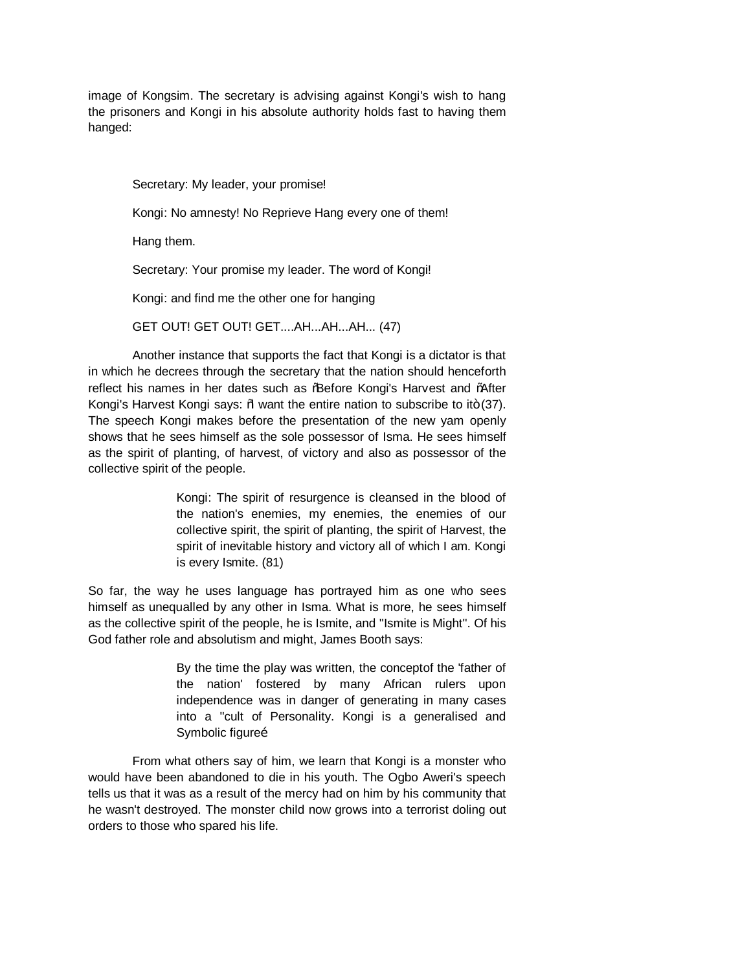image of Kongsim. The secretary is advising against Kongi's wish to hang the prisoners and Kongi in his absolute authority holds fast to having them hanged:

Secretary: My leader, your promise! Kongi: No amnesty! No Reprieve Hang every one of them! Hang them. Secretary: Your promise my leader. The word of Kongi! Kongi: and find me the other one for hanging GET OUT! GET OUT! GET....AH...AH...AH... (47)

Another instance that supports the fact that Kongi is a dictator is that in which he decrees through the secretary that the nation should henceforth reflect his names in her dates such as % Before Kongi's Harvest and % After Kongi's Harvest Kongi says:  $%$  want the entire nation to subscribe to it $+$  (37). The speech Kongi makes before the presentation of the new yam openly shows that he sees himself as the sole possessor of Isma. He sees himself as the spirit of planting, of harvest, of victory and also as possessor of the collective spirit of the people.

> Kongi: The spirit of resurgence is cleansed in the blood of the nation's enemies, my enemies, the enemies of our collective spirit, the spirit of planting, the spirit of Harvest, the spirit of inevitable history and victory all of which I am. Kongi is every Ismite. (81)

So far, the way he uses language has portrayed him as one who sees himself as unequalled by any other in Isma. What is more, he sees himself as the collective spirit of the people, he is Ismite, and ''Ismite is Might''. Of his God father role and absolutism and might, James Booth says:

> By the time the play was written, the conceptof the 'father of the nation' fostered by many African rulers upon independence was in danger of generating in many cases into a ''cult of Personality. Kongi is a generalised and Symbolic figureo

From what others say of him, we learn that Kongi is a monster who would have been abandoned to die in his youth. The Ogbo Aweri's speech tells us that it was as a result of the mercy had on him by his community that he wasn't destroyed. The monster child now grows into a terrorist doling out orders to those who spared his life.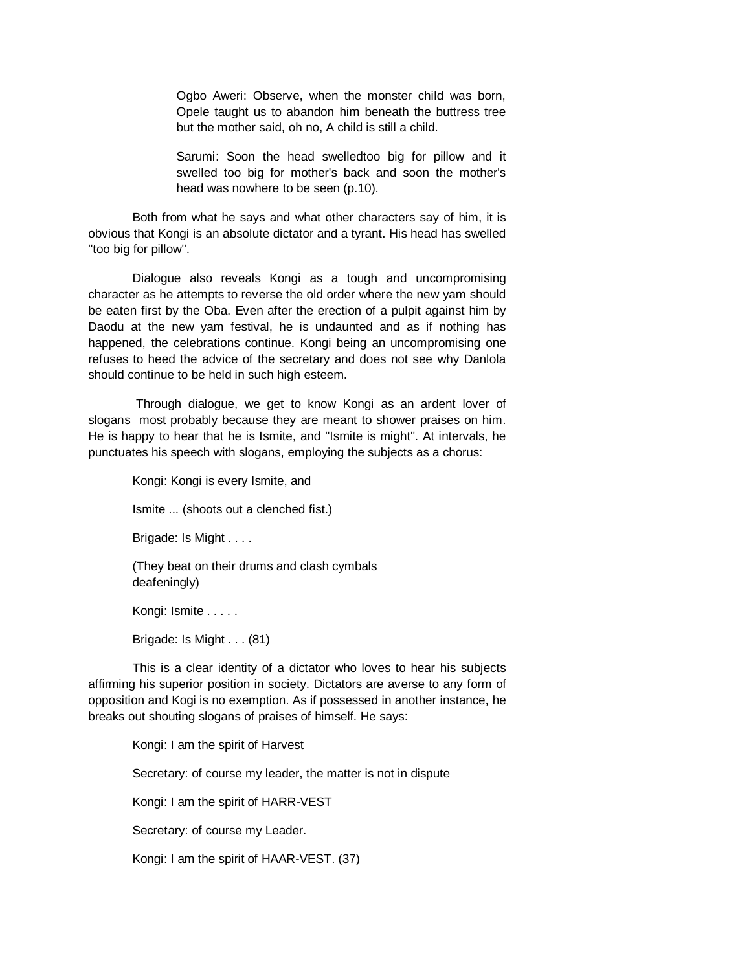Ogbo Aweri: Observe, when the monster child was born, Opele taught us to abandon him beneath the buttress tree but the mother said, oh no, A child is still a child.

Sarumi: Soon the head swelledtoo big for pillow and it swelled too big for mother's back and soon the mother's head was nowhere to be seen (p.10).

Both from what he says and what other characters say of him, it is obvious that Kongi is an absolute dictator and a tyrant. His head has swelled ''too big for pillow''.

Dialogue also reveals Kongi as a tough and uncompromising character as he attempts to reverse the old order where the new yam should be eaten first by the Oba. Even after the erection of a pulpit against him by Daodu at the new yam festival, he is undaunted and as if nothing has happened, the celebrations continue. Kongi being an uncompromising one refuses to heed the advice of the secretary and does not see why Danlola should continue to be held in such high esteem.

Through dialogue, we get to know Kongi as an ardent lover of slogans most probably because they are meant to shower praises on him. He is happy to hear that he is Ismite, and ''Ismite is might''. At intervals, he punctuates his speech with slogans, employing the subjects as a chorus:

> Kongi: Kongi is every Ismite, and Ismite ... (shoots out a clenched fist.) Brigade: Is Might . . . . (They beat on their drums and clash cymbals deafeningly) Kongi: Ismite . . . . . Brigade: Is Might . . . (81)

This is a clear identity of a dictator who loves to hear his subjects affirming his superior position in society. Dictators are averse to any form of opposition and Kogi is no exemption. As if possessed in another instance, he breaks out shouting slogans of praises of himself. He says:

> Kongi: I am the spirit of Harvest Secretary: of course my leader, the matter is not in dispute Kongi: I am the spirit of HARR-VEST Secretary: of course my Leader. Kongi: I am the spirit of HAAR-VEST. (37)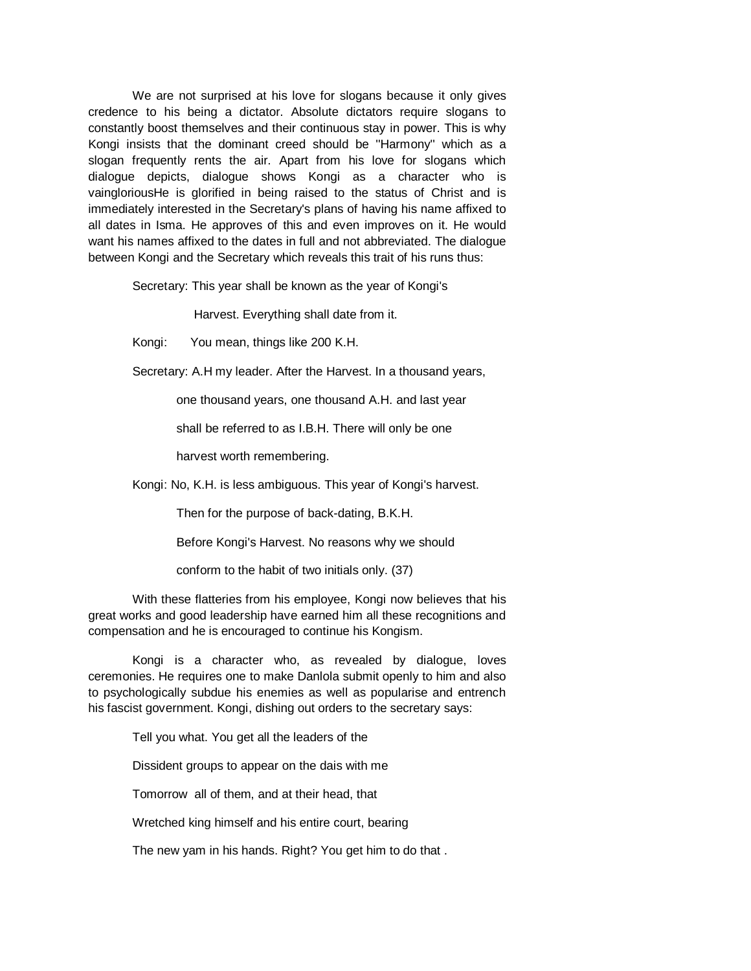We are not surprised at his love for slogans because it only gives credence to his being a dictator. Absolute dictators require slogans to constantly boost themselves and their continuous stay in power. This is why Kongi insists that the dominant creed should be ''Harmony'' which as a slogan frequently rents the air. Apart from his love for slogans which dialogue depicts, dialogue shows Kongi as a character who is vaingloriousHe is glorified in being raised to the status of Christ and is immediately interested in the Secretary's plans of having his name affixed to all dates in Isma. He approves of this and even improves on it. He would want his names affixed to the dates in full and not abbreviated. The dialogue between Kongi and the Secretary which reveals this trait of his runs thus:

Secretary: This year shall be known as the year of Kongi's

Harvest. Everything shall date from it.

Kongi: You mean, things like 200 K.H.

Secretary: A.H my leader. After the Harvest. In a thousand years,

one thousand years, one thousand A.H. and last year

shall be referred to as I.B.H. There will only be one

harvest worth remembering.

Kongi: No, K.H. is less ambiguous. This year of Kongi's harvest.

Then for the purpose of back-dating, B.K.H.

Before Kongi's Harvest. No reasons why we should

conform to the habit of two initials only. (37)

With these flatteries from his employee, Kongi now believes that his great works and good leadership have earned him all these recognitions and compensation and he is encouraged to continue his Kongism.

Kongi is a character who, as revealed by dialogue, loves ceremonies. He requires one to make Danlola submit openly to him and also to psychologically subdue his enemies as well as popularise and entrench his fascist government. Kongi, dishing out orders to the secretary says:

Tell you what. You get all the leaders of the

Dissident groups to appear on the dais with me

Tomorrow all of them, and at their head, that

Wretched king himself and his entire court, bearing

The new yam in his hands. Right? You get him to do that .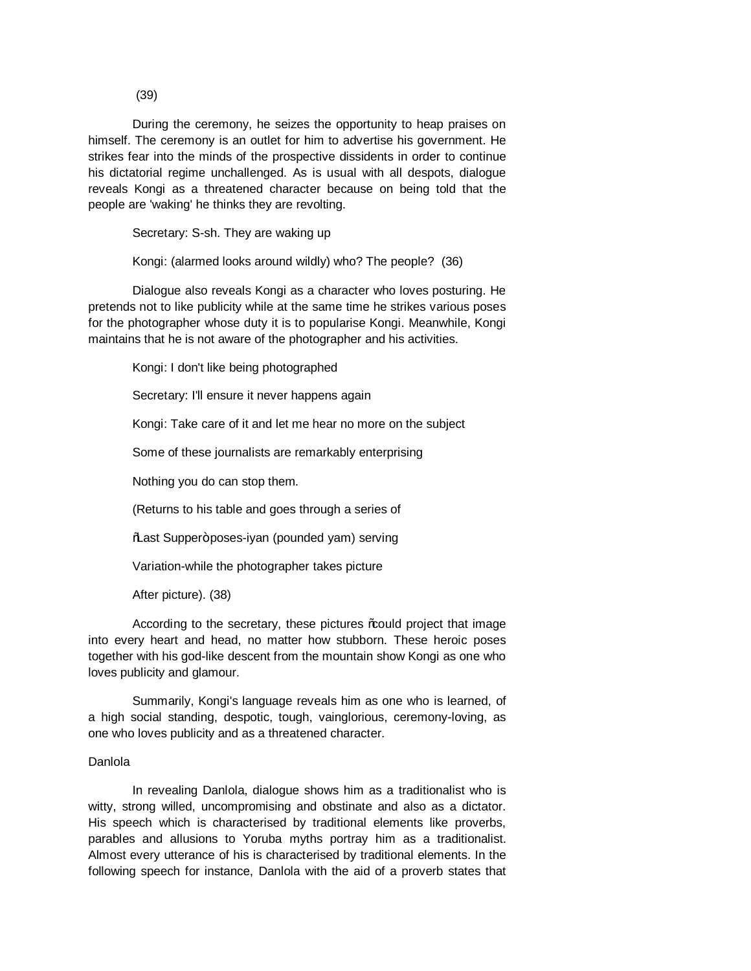(39)

During the ceremony, he seizes the opportunity to heap praises on himself. The ceremony is an outlet for him to advertise his government. He strikes fear into the minds of the prospective dissidents in order to continue his dictatorial regime unchallenged. As is usual with all despots, dialogue reveals Kongi as a threatened character because on being told that the people are 'waking' he thinks they are revolting.

Secretary: S-sh. They are waking up

Kongi: (alarmed looks around wildly) who? The people? (36)

Dialogue also reveals Kongi as a character who loves posturing. He pretends not to like publicity while at the same time he strikes various poses for the photographer whose duty it is to popularise Kongi. Meanwhile, Kongi maintains that he is not aware of the photographer and his activities.

Kongi: I don't like being photographed

Secretary: I'll ensure it never happens again

Kongi: Take care of it and let me hear no more on the subject

Some of these journalists are remarkably enterprising

Nothing you do can stop them.

(Returns to his table and goes through a series of

% ast Supper+poses-iyan (pounded yam) serving

Variation-while the photographer takes picture

After picture). (38)

According to the secretary, these pictures \\; could project that image into every heart and head, no matter how stubborn. These heroic poses together with his god-like descent from the mountain show Kongi as one who loves publicity and glamour.

Summarily, Kongi's language reveals him as one who is learned, of a high social standing, despotic, tough, vainglorious, ceremony-loving, as one who loves publicity and as a threatened character.

# Danlola

In revealing Danlola, dialogue shows him as a traditionalist who is witty, strong willed, uncompromising and obstinate and also as a dictator. His speech which is characterised by traditional elements like proverbs, parables and allusions to Yoruba myths portray him as a traditionalist. Almost every utterance of his is characterised by traditional elements. In the following speech for instance, Danlola with the aid of a proverb states that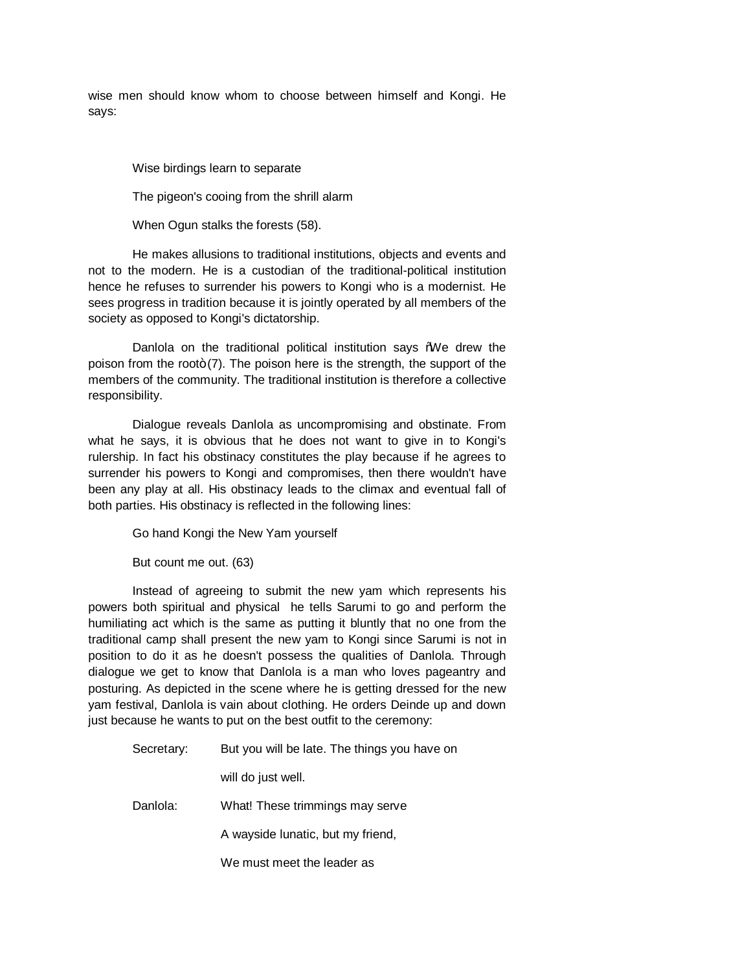wise men should know whom to choose between himself and Kongi. He says:

Wise birdings learn to separate

The pigeon's cooing from the shrill alarm

When Ogun stalks the forests (58).

He makes allusions to traditional institutions, objects and events and not to the modern. He is a custodian of the traditional-political institution hence he refuses to surrender his powers to Kongi who is a modernist. He sees progress in tradition because it is jointly operated by all members of the society as opposed to Kongi's dictatorship.

Danlola on the traditional political institution says %We drew the poison from the root $+(7)$ . The poison here is the strength, the support of the members of the community. The traditional institution is therefore a collective responsibility.

Dialogue reveals Danlola as uncompromising and obstinate. From what he says, it is obvious that he does not want to give in to Kongi's rulership. In fact his obstinacy constitutes the play because if he agrees to surrender his powers to Kongi and compromises, then there wouldn't have been any play at all. His obstinacy leads to the climax and eventual fall of both parties. His obstinacy is reflected in the following lines:

Go hand Kongi the New Yam yourself

But count me out. (63)

Instead of agreeing to submit the new yam which represents his powers both spiritual and physical he tells Sarumi to go and perform the humiliating act which is the same as putting it bluntly that no one from the traditional camp shall present the new yam to Kongi since Sarumi is not in position to do it as he doesn't possess the qualities of Danlola. Through dialogue we get to know that Danlola is a man who loves pageantry and posturing. As depicted in the scene where he is getting dressed for the new yam festival, Danlola is vain about clothing. He orders Deinde up and down just because he wants to put on the best outfit to the ceremony:

| Secretary: | But you will be late. The things you have on |
|------------|----------------------------------------------|
|            | will do just well.                           |
| Danlola:   | What! These trimmings may serve              |
|            | A wayside lunatic, but my friend,            |
|            | We must meet the leader as                   |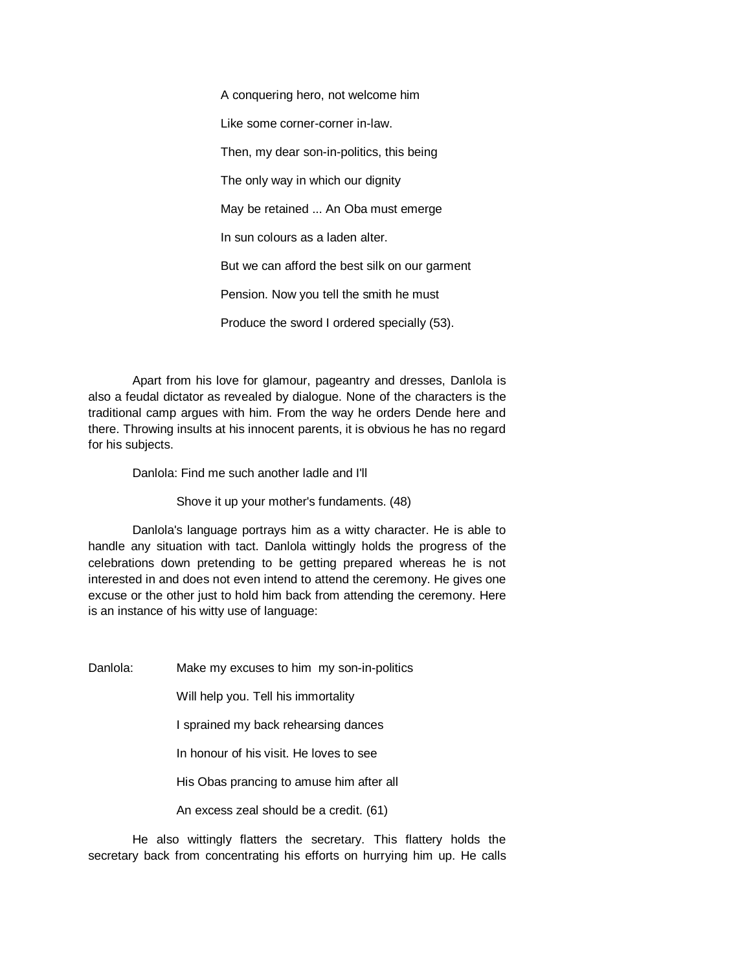A conquering hero, not welcome him Like some corner-corner in-law. Then, my dear son-in-politics, this being The only way in which our dignity May be retained ... An Oba must emerge In sun colours as a laden alter. But we can afford the best silk on our garment Pension. Now you tell the smith he must Produce the sword I ordered specially (53).

Apart from his love for glamour, pageantry and dresses, Danlola is also a feudal dictator as revealed by dialogue. None of the characters is the traditional camp argues with him. From the way he orders Dende here and there. Throwing insults at his innocent parents, it is obvious he has no regard for his subjects.

Danlola: Find me such another ladle and I'll

Shove it up your mother's fundaments. (48)

Danlola's language portrays him as a witty character. He is able to handle any situation with tact. Danlola wittingly holds the progress of the celebrations down pretending to be getting prepared whereas he is not interested in and does not even intend to attend the ceremony. He gives one excuse or the other just to hold him back from attending the ceremony. Here is an instance of his witty use of language:

Danlola: Make my excuses to him my son-in-politics

Will help you. Tell his immortality

I sprained my back rehearsing dances

In honour of his visit. He loves to see

His Obas prancing to amuse him after all

An excess zeal should be a credit. (61)

He also wittingly flatters the secretary. This flattery holds the secretary back from concentrating his efforts on hurrying him up. He calls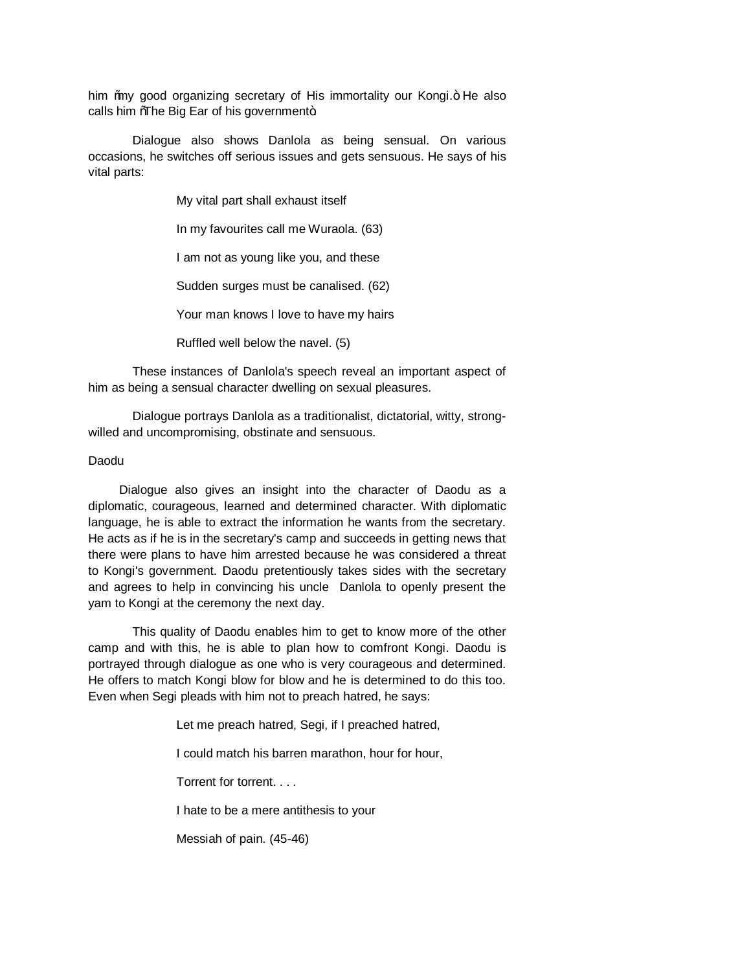him ‰y good organizing secretary of His immortality our Kongi.+ He also calls him  $%$ The Big Ear of his government+.

Dialogue also shows Danlola as being sensual. On various occasions, he switches off serious issues and gets sensuous. He says of his vital parts:

My vital part shall exhaust itself

In my favourites call me Wuraola. (63)

I am not as young like you, and these

Sudden surges must be canalised. (62)

Your man knows I love to have my hairs

Ruffled well below the navel. (5)

These instances of Danlola's speech reveal an important aspect of him as being a sensual character dwelling on sexual pleasures.

Dialogue portrays Danlola as a traditionalist, dictatorial, witty, strongwilled and uncompromising, obstinate and sensuous.

#### Daodu

 Dialogue also gives an insight into the character of Daodu as a diplomatic, courageous, learned and determined character. With diplomatic language, he is able to extract the information he wants from the secretary. He acts as if he is in the secretary's camp and succeeds in getting news that there were plans to have him arrested because he was considered a threat to Kongi's government. Daodu pretentiously takes sides with the secretary and agrees to help in convincing his uncle Danlola to openly present the yam to Kongi at the ceremony the next day.

This quality of Daodu enables him to get to know more of the other camp and with this, he is able to plan how to comfront Kongi. Daodu is portrayed through dialogue as one who is very courageous and determined. He offers to match Kongi blow for blow and he is determined to do this too. Even when Segi pleads with him not to preach hatred, he says:

Let me preach hatred, Segi, if I preached hatred,

I could match his barren marathon, hour for hour,

Torrent for torrent. . . .

I hate to be a mere antithesis to your

Messiah of pain. (45-46)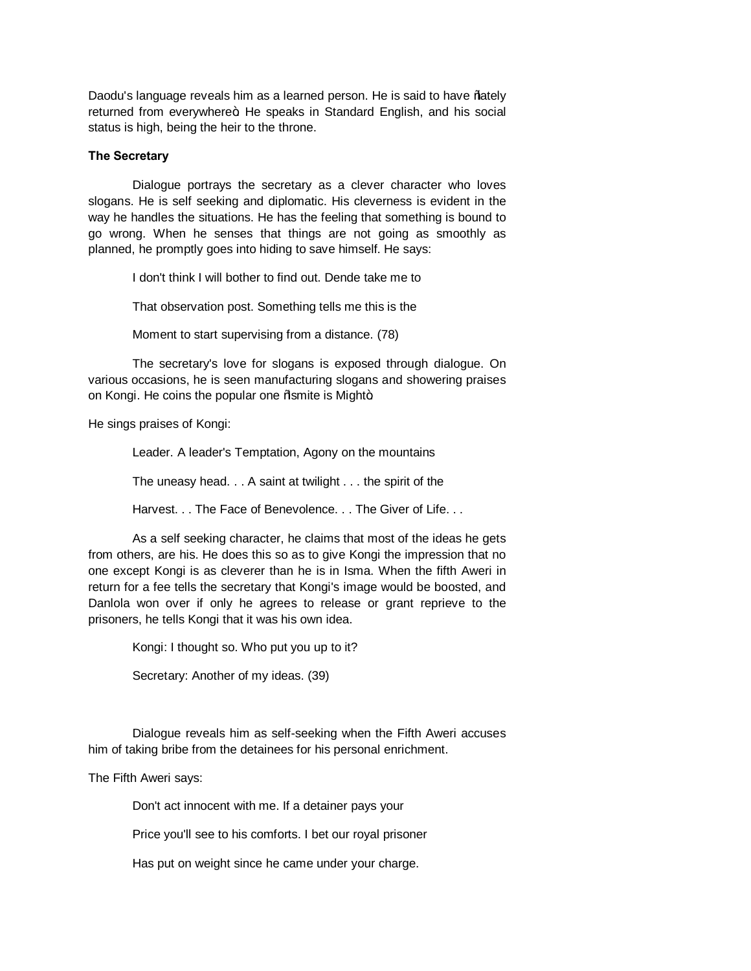Daodu's language reveals him as a learned person. He is said to have % ately returned from everywhere+. He speaks in Standard English, and his social status is high, being the heir to the throne.

## **The Secretary**

Dialogue portrays the secretary as a clever character who loves slogans. He is self seeking and diplomatic. His cleverness is evident in the way he handles the situations. He has the feeling that something is bound to go wrong. When he senses that things are not going as smoothly as planned, he promptly goes into hiding to save himself. He says:

I don't think I will bother to find out. Dende take me to

That observation post. Something tells me this is the

Moment to start supervising from a distance. (78)

The secretary's love for slogans is exposed through dialogue. On various occasions, he is seen manufacturing slogans and showering praises on Kongi. He coins the popular one % smite is Might+.

He sings praises of Kongi:

Leader. A leader's Temptation, Agony on the mountains

The uneasy head. . . A saint at twilight . . . the spirit of the

Harvest. . . The Face of Benevolence. . . The Giver of Life. . .

As a self seeking character, he claims that most of the ideas he gets from others, are his. He does this so as to give Kongi the impression that no one except Kongi is as cleverer than he is in Isma. When the fifth Aweri in return for a fee tells the secretary that Kongi's image would be boosted, and Danlola won over if only he agrees to release or grant reprieve to the prisoners, he tells Kongi that it was his own idea.

> Kongi: I thought so. Who put you up to it? Secretary: Another of my ideas. (39)

Dialogue reveals him as self-seeking when the Fifth Aweri accuses

him of taking bribe from the detainees for his personal enrichment.

The Fifth Aweri says:

Don't act innocent with me. If a detainer pays your

Price you'll see to his comforts. I bet our royal prisoner

Has put on weight since he came under your charge.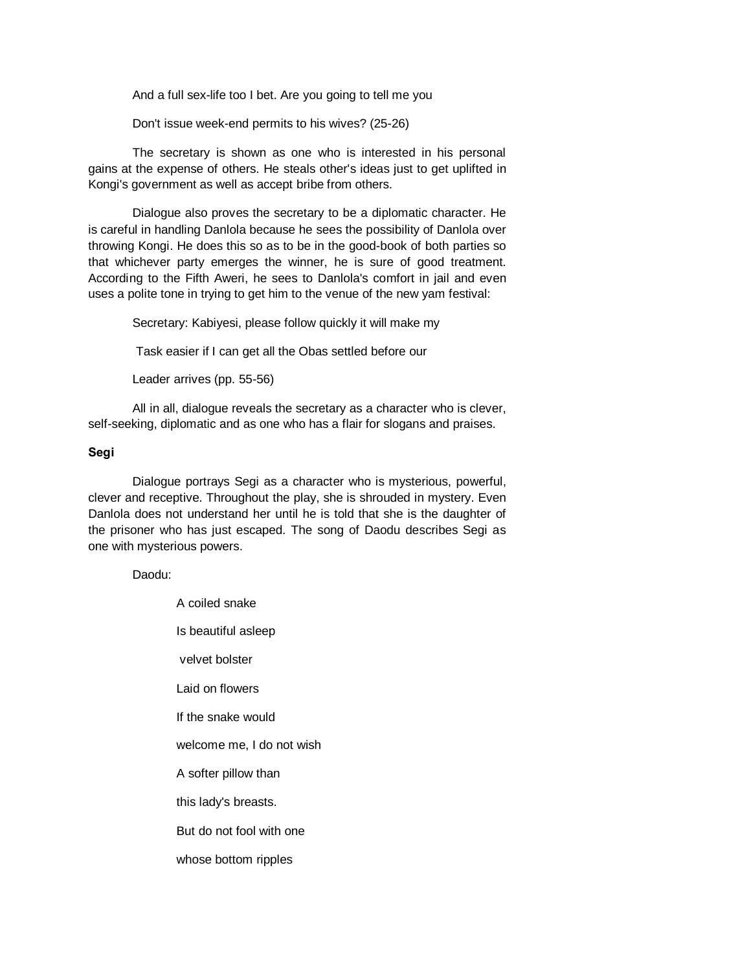And a full sex-life too I bet. Are you going to tell me you

Don't issue week-end permits to his wives? (25-26)

The secretary is shown as one who is interested in his personal gains at the expense of others. He steals other's ideas just to get uplifted in Kongi's government as well as accept bribe from others.

Dialogue also proves the secretary to be a diplomatic character. He is careful in handling Danlola because he sees the possibility of Danlola over throwing Kongi. He does this so as to be in the good-book of both parties so that whichever party emerges the winner, he is sure of good treatment. According to the Fifth Aweri, he sees to Danlola's comfort in jail and even uses a polite tone in trying to get him to the venue of the new yam festival:

Secretary: Kabiyesi, please follow quickly it will make my

Task easier if I can get all the Obas settled before our

Leader arrives (pp. 55-56)

All in all, dialogue reveals the secretary as a character who is clever, self-seeking, diplomatic and as one who has a flair for slogans and praises.

# **Segi**

Dialogue portrays Segi as a character who is mysterious, powerful, clever and receptive. Throughout the play, she is shrouded in mystery. Even Danlola does not understand her until he is told that she is the daughter of the prisoner who has just escaped. The song of Daodu describes Segi as one with mysterious powers.

Daodu:

| A coiled snake            |  |
|---------------------------|--|
| Is beautiful asleep       |  |
| velvet bolster            |  |
| Laid on flowers           |  |
| If the snake would        |  |
| welcome me, I do not wish |  |
| A softer pillow than      |  |
| this lady's breasts.      |  |
| But do not fool with one  |  |
| whose bottom ripples      |  |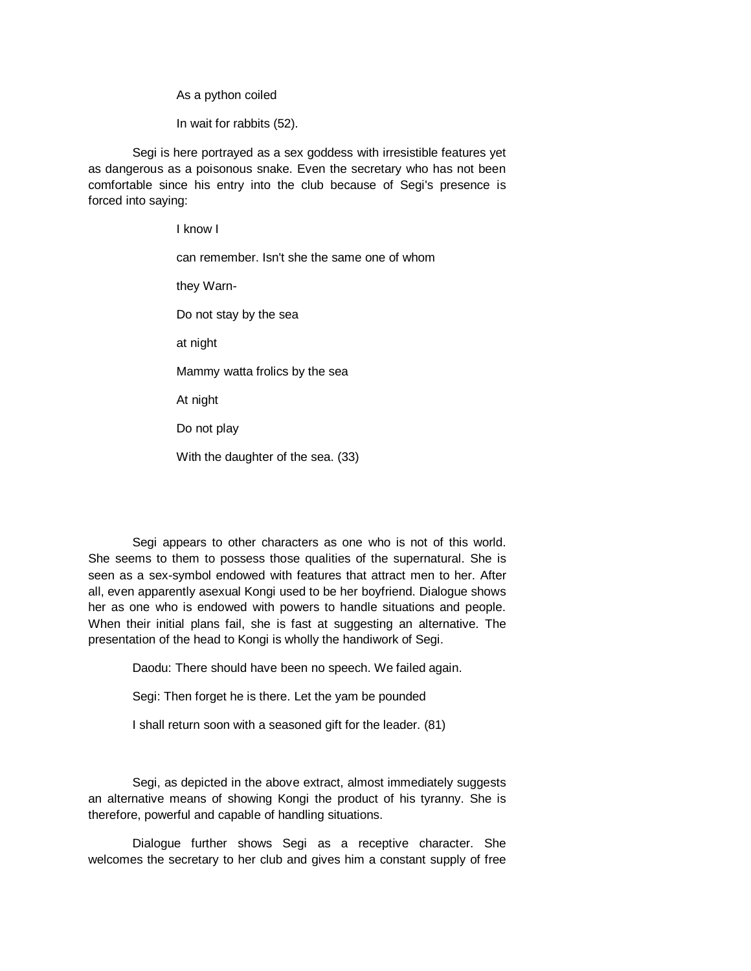As a python coiled

In wait for rabbits (52).

Segi is here portrayed as a sex goddess with irresistible features yet as dangerous as a poisonous snake. Even the secretary who has not been comfortable since his entry into the club because of Segi's presence is forced into saying:

> I know I can remember. Isn't she the same one of whom they Warn-Do not stay by the sea at night Mammy watta frolics by the sea At night Do not play

With the daughter of the sea. (33)

Segi appears to other characters as one who is not of this world. She seems to them to possess those qualities of the supernatural. She is seen as a sex-symbol endowed with features that attract men to her. After all, even apparently asexual Kongi used to be her boyfriend. Dialogue shows her as one who is endowed with powers to handle situations and people. When their initial plans fail, she is fast at suggesting an alternative. The presentation of the head to Kongi is wholly the handiwork of Segi.

Daodu: There should have been no speech. We failed again.

Segi: Then forget he is there. Let the yam be pounded

I shall return soon with a seasoned gift for the leader. (81)

Segi, as depicted in the above extract, almost immediately suggests an alternative means of showing Kongi the product of his tyranny. She is therefore, powerful and capable of handling situations.

Dialogue further shows Segi as a receptive character. She welcomes the secretary to her club and gives him a constant supply of free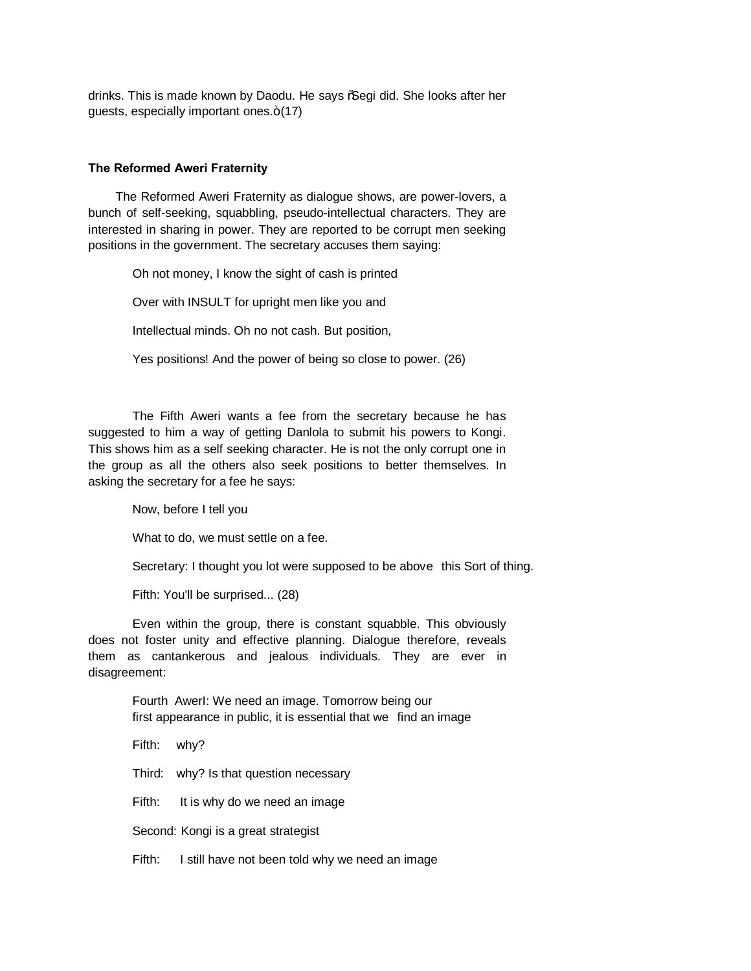drinks. This is made known by Daodu. He says % Gegi did. She looks after her guests, especially important ones. $+(17)$ 

## **The Reformed Aweri Fraternity**

 The Reformed Aweri Fraternity as dialogue shows, are power-lovers, a bunch of self-seeking, squabbling, pseudo-intellectual characters. They are interested in sharing in power. They are reported to be corrupt men seeking positions in the government. The secretary accuses them saying:

Oh not money, I know the sight of cash is printed Over with INSULT for upright men like you and Intellectual minds. Oh no not cash. But position, Yes positions! And the power of being so close to power. (26)

The Fifth Aweri wants a fee from the secretary because he has suggested to him a way of getting Danlola to submit his powers to Kongi. This shows him as a self seeking character. He is not the only corrupt one in the group as all the others also seek positions to better themselves. In asking the secretary for a fee he says:

Now, before I tell you

What to do, we must settle on a fee.

Secretary: I thought you lot were supposed to be above this Sort of thing.

Fifth: You'll be surprised... (28)

Even within the group, there is constant squabble. This obviously does not foster unity and effective planning. Dialogue therefore, reveals them as cantankerous and jealous individuals. They are ever in disagreement:

> Fourth AwerI: We need an image. Tomorrow being our first appearance in public, it is essential that we find an image

Fifth: why?

Third: why? Is that question necessary

Fifth: It is why do we need an image

Second: Kongi is a great strategist

Fifth: I still have not been told why we need an image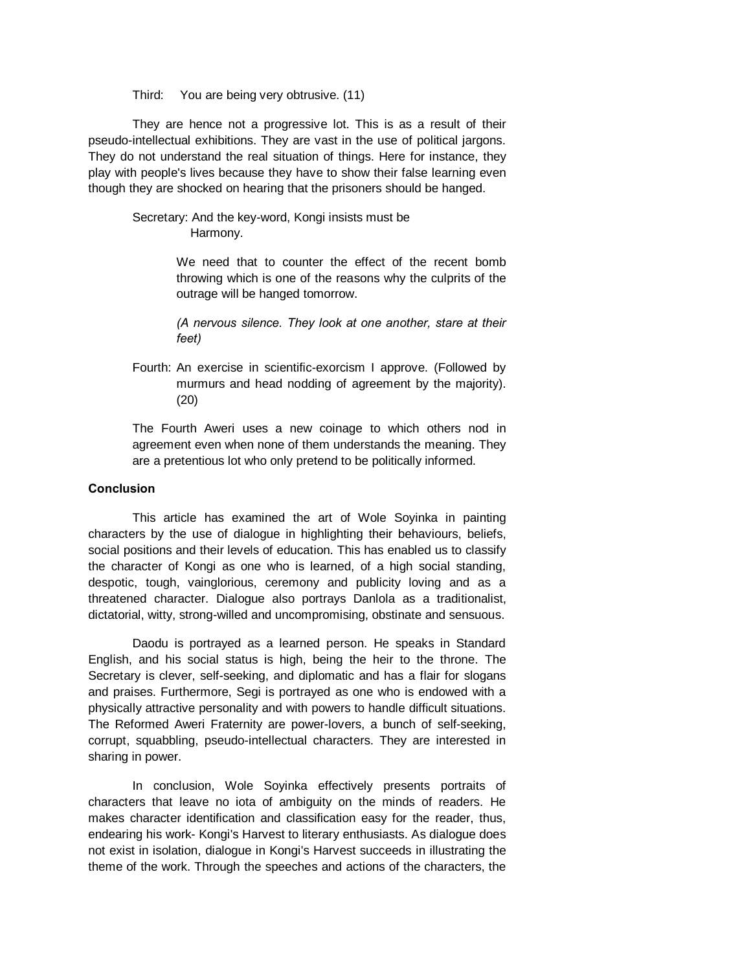Third: You are being very obtrusive. (11)

They are hence not a progressive lot. This is as a result of their pseudo-intellectual exhibitions. They are vast in the use of political jargons. They do not understand the real situation of things. Here for instance, they play with people's lives because they have to show their false learning even though they are shocked on hearing that the prisoners should be hanged.

> Secretary: And the key-word, Kongi insists must be Harmony.

> > We need that to counter the effect of the recent bomb throwing which is one of the reasons why the culprits of the outrage will be hanged tomorrow.

> > *(A nervous silence. They look at one another, stare at their feet)*

Fourth: An exercise in scientific-exorcism I approve. (Followed by murmurs and head nodding of agreement by the majority). (20)

The Fourth Aweri uses a new coinage to which others nod in agreement even when none of them understands the meaning. They are a pretentious lot who only pretend to be politically informed.

#### **Conclusion**

This article has examined the art of Wole Soyinka in painting characters by the use of dialogue in highlighting their behaviours, beliefs, social positions and their levels of education. This has enabled us to classify the character of Kongi as one who is learned, of a high social standing, despotic, tough, vainglorious, ceremony and publicity loving and as a threatened character. Dialogue also portrays Danlola as a traditionalist, dictatorial, witty, strong-willed and uncompromising, obstinate and sensuous.

Daodu is portrayed as a learned person. He speaks in Standard English, and his social status is high, being the heir to the throne. The Secretary is clever, self-seeking, and diplomatic and has a flair for slogans and praises. Furthermore, Segi is portrayed as one who is endowed with a physically attractive personality and with powers to handle difficult situations. The Reformed Aweri Fraternity are power-lovers, a bunch of self-seeking, corrupt, squabbling, pseudo-intellectual characters. They are interested in sharing in power.

In conclusion, Wole Soyinka effectively presents portraits of characters that leave no iota of ambiguity on the minds of readers. He makes character identification and classification easy for the reader, thus, endearing his work- Kongi's Harvest to literary enthusiasts. As dialogue does not exist in isolation, dialogue in Kongi's Harvest succeeds in illustrating the theme of the work. Through the speeches and actions of the characters, the